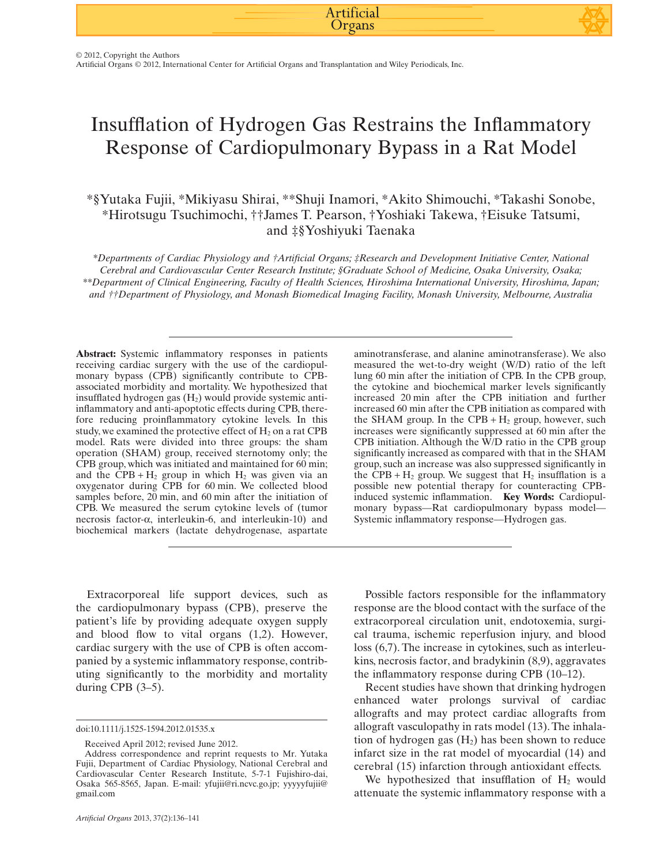© 2012, Copyright the Authors

Artificial Organs © 2012, International Center for Artificial Organs and Transplantation and Wiley Periodicals, Inc.

# Insufflation of Hydrogen Gas Restrains the Inflammatory Response of Cardiopulmonary Bypass in a Rat Model

Artificial Organs

\*§Yutaka Fujii, \*Mikiyasu Shirai, \*\*Shuji Inamori, \*Akito Shimouchi, \*Takashi Sonobe, \*Hirotsugu Tsuchimochi, ††James T. Pearson, †Yoshiaki Takewa, †Eisuke Tatsumi, and ‡§Yoshiyuki Taenaka

*\*Departments of Cardiac Physiology and †Artificial Organs; ‡Research and Development Initiative Center, National Cerebral and Cardiovascular Center Research Institute; §Graduate School of Medicine, Osaka University, Osaka; \*\*Department of Clinical Engineering, Faculty of Health Sciences, Hiroshima International University, Hiroshima, Japan; and ††Department of Physiology, and Monash Biomedical Imaging Facility, Monash University, Melbourne, Australia*

**Abstract:** Systemic inflammatory responses in patients receiving cardiac surgery with the use of the cardiopulmonary bypass (CPB) significantly contribute to CPBassociated morbidity and mortality. We hypothesized that insufflated hydrogen gas  $(H<sub>2</sub>)$  would provide systemic antiinflammatory and anti-apoptotic effects during CPB, therefore reducing proinflammatory cytokine levels. In this study, we examined the protective effect of  $H_2$  on a rat CPB model. Rats were divided into three groups: the sham operation (SHAM) group, received sternotomy only; the CPB group, which was initiated and maintained for 60 min; and the CPB +  $H_2$  group in which  $H_2$  was given via an oxygenator during CPB for 60 min. We collected blood samples before, 20 min, and 60 min after the initiation of CPB. We measured the serum cytokine levels of (tumor necrosis factor- $\alpha$ , interleukin-6, and interleukin-10) and biochemical markers (lactate dehydrogenase, aspartate aminotransferase, and alanine aminotransferase). We also measured the wet-to-dry weight (W/D) ratio of the left lung 60 min after the initiation of CPB. In the CPB group, the cytokine and biochemical marker levels significantly increased 20 min after the CPB initiation and further increased 60 min after the CPB initiation as compared with the SHAM group. In the CPB  $+ H<sub>2</sub>$  group, however, such increases were significantly suppressed at 60 min after the CPB initiation. Although the W/D ratio in the CPB group significantly increased as compared with that in the SHAM group, such an increase was also suppressed significantly in the CPB +  $H_2$  group. We suggest that  $H_2$  insufflation is a possible new potential therapy for counteracting CPBinduced systemic inflammation. **Key Words:** Cardiopulmonary bypass—Rat cardiopulmonary bypass model— Systemic inflammatory response—Hydrogen gas.

Extracorporeal life support devices, such as the cardiopulmonary bypass (CPB), preserve the patient's life by providing adequate oxygen supply and blood flow to vital organs (1,2). However, cardiac surgery with the use of CPB is often accompanied by a systemic inflammatory response, contributing significantly to the morbidity and mortality during CPB (3–5).

Possible factors responsible for the inflammatory response are the blood contact with the surface of the extracorporeal circulation unit, endotoxemia, surgical trauma, ischemic reperfusion injury, and blood loss (6,7). The increase in cytokines, such as interleukins, necrosis factor, and bradykinin (8,9), aggravates the inflammatory response during CPB (10–12).

Recent studies have shown that drinking hydrogen enhanced water prolongs survival of cardiac allografts and may protect cardiac allografts from allograft vasculopathy in rats model (13). The inhalation of hydrogen gas  $(H<sub>2</sub>)$  has been shown to reduce infarct size in the rat model of myocardial (14) and cerebral (15) infarction through antioxidant effects.

We hypothesized that insufflation of  $H_2$  would attenuate the systemic inflammatory response with a

doi:10.1111/j.1525-1594.2012.01535.x

Received April 2012; revised June 2012.

Address correspondence and reprint requests to Mr. Yutaka Fujii, Department of Cardiac Physiology, National Cerebral and Cardiovascular Center Research Institute, 5-7-1 Fujishiro-dai, Osaka 565-8565, Japan. E-mail: yfujii@ri.ncvc.go.jp; yyyyyfujii@ gmail.com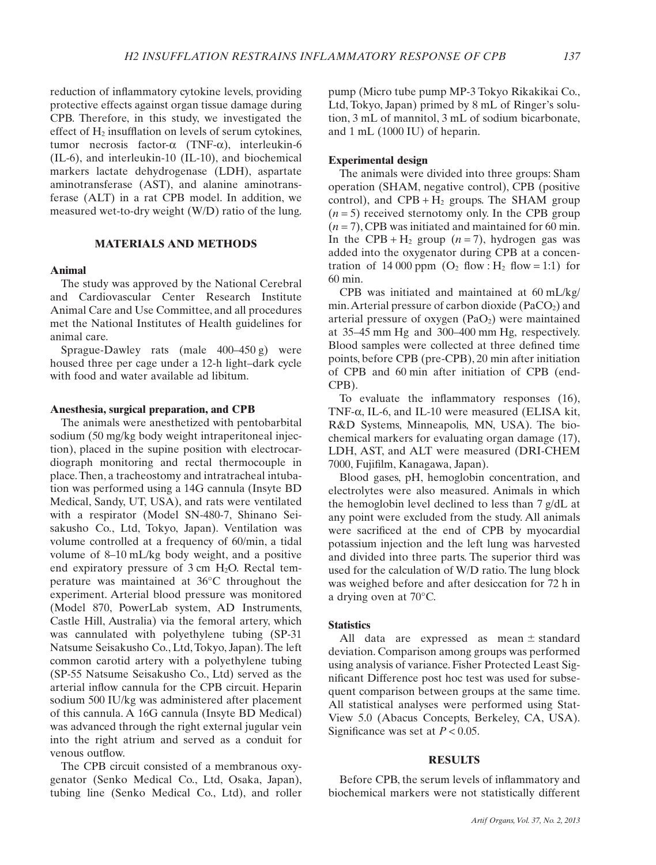reduction of inflammatory cytokine levels, providing protective effects against organ tissue damage during CPB. Therefore, in this study, we investigated the effect of  $H_2$  insufflation on levels of serum cytokines, tumor necrosis factor- $\alpha$  (TNF- $\alpha$ ), interleukin-6 (IL-6), and interleukin-10 (IL-10), and biochemical markers lactate dehydrogenase (LDH), aspartate aminotransferase (AST), and alanine aminotransferase (ALT) in a rat CPB model. In addition, we measured wet-to-dry weight (W/D) ratio of the lung.

# **MATERIALS AND METHODS**

# **Animal**

The study was approved by the National Cerebral and Cardiovascular Center Research Institute Animal Care and Use Committee, and all procedures met the National Institutes of Health guidelines for animal care.

Sprague-Dawley rats (male 400–450 g) were housed three per cage under a 12-h light–dark cycle with food and water available ad libitum.

# **Anesthesia, surgical preparation, and CPB**

The animals were anesthetized with pentobarbital sodium (50 mg/kg body weight intraperitoneal injection), placed in the supine position with electrocardiograph monitoring and rectal thermocouple in place.Then, a tracheostomy and intratracheal intubation was performed using a 14G cannula (Insyte BD Medical, Sandy, UT, USA), and rats were ventilated with a respirator (Model SN-480-7, Shinano Seisakusho Co., Ltd, Tokyo, Japan). Ventilation was volume controlled at a frequency of 60/min, a tidal volume of 8–10 mL/kg body weight, and a positive end expiratory pressure of  $3 \text{ cm}$  H<sub>2</sub>O. Rectal temperature was maintained at 36°C throughout the experiment. Arterial blood pressure was monitored (Model 870, PowerLab system, AD Instruments, Castle Hill, Australia) via the femoral artery, which was cannulated with polyethylene tubing (SP-31 Natsume Seisakusho Co., Ltd, Tokyo, Japan). The left common carotid artery with a polyethylene tubing (SP-55 Natsume Seisakusho Co., Ltd) served as the arterial inflow cannula for the CPB circuit. Heparin sodium 500 IU/kg was administered after placement of this cannula. A 16G cannula (Insyte BD Medical) was advanced through the right external jugular vein into the right atrium and served as a conduit for venous outflow.

The CPB circuit consisted of a membranous oxygenator (Senko Medical Co., Ltd, Osaka, Japan), tubing line (Senko Medical Co., Ltd), and roller pump (Micro tube pump MP-3 Tokyo Rikakikai Co., Ltd, Tokyo, Japan) primed by 8 mL of Ringer's solution, 3 mL of mannitol, 3 mL of sodium bicarbonate, and 1 mL (1000 IU) of heparin.

## **Experimental design**

The animals were divided into three groups: Sham operation (SHAM, negative control), CPB (positive control), and  $CPB + H_2$  groups. The SHAM group  $(n=5)$  received sternotomy only. In the CPB group  $(n = 7)$ , CPB was initiated and maintained for 60 min. In the CPB +  $H_2$  group ( $n = 7$ ), hydrogen gas was added into the oxygenator during CPB at a concentration of 14 000 ppm  $(O_2$  flow : H<sub>2</sub> flow = 1:1) for 60 min.

CPB was initiated and maintained at 60 mL/kg/ min. Arterial pressure of carbon dioxide ( $PaCO<sub>2</sub>$ ) and arterial pressure of oxygen  $(PaO<sub>2</sub>)$  were maintained at 35–45 mm Hg and 300–400 mm Hg, respectively. Blood samples were collected at three defined time points, before CPB (pre-CPB), 20 min after initiation of CPB and 60 min after initiation of CPB (end-CPB).

To evaluate the inflammatory responses (16), TNF- $\alpha$ , IL-6, and IL-10 were measured (ELISA kit, R&D Systems, Minneapolis, MN, USA). The biochemical markers for evaluating organ damage (17), LDH, AST, and ALT were measured (DRI-CHEM 7000, Fujifilm, Kanagawa, Japan).

Blood gases, pH, hemoglobin concentration, and electrolytes were also measured. Animals in which the hemoglobin level declined to less than 7 g/dL at any point were excluded from the study. All animals were sacrificed at the end of CPB by myocardial potassium injection and the left lung was harvested and divided into three parts. The superior third was used for the calculation of W/D ratio. The lung block was weighed before and after desiccation for 72 h in a drying oven at 70°C.

#### **Statistics**

All data are expressed as mean  $\pm$  standard deviation. Comparison among groups was performed using analysis of variance. Fisher Protected Least Significant Difference post hoc test was used for subsequent comparison between groups at the same time. All statistical analyses were performed using Stat-View 5.0 (Abacus Concepts, Berkeley, CA, USA). Significance was set at  $P < 0.05$ .

#### **RESULTS**

Before CPB, the serum levels of inflammatory and biochemical markers were not statistically different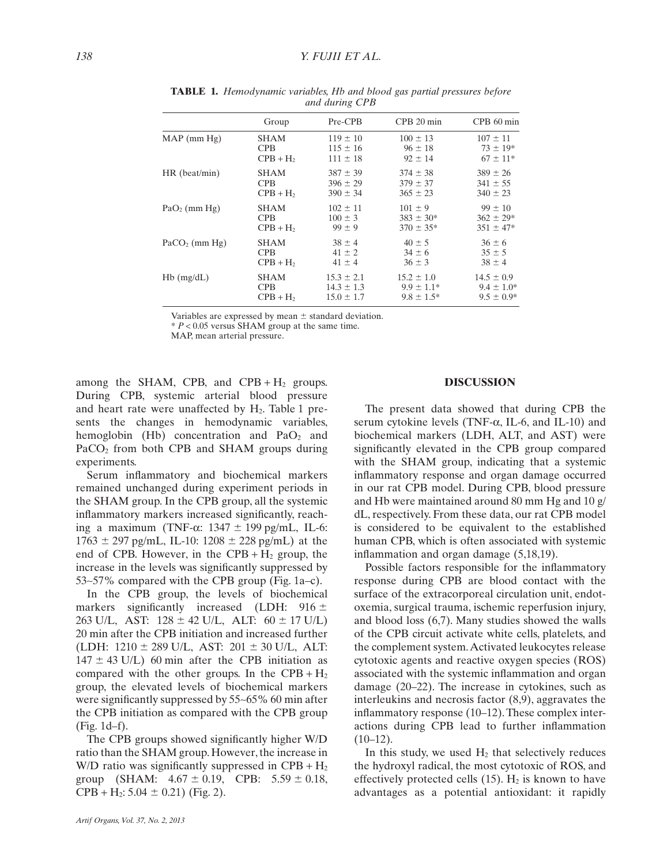|                     | Group       | Pre-CPB        | CPB 20 min      | CPB 60 min      |
|---------------------|-------------|----------------|-----------------|-----------------|
| MAP (mm Hg)         | <b>SHAM</b> | $119 \pm 10$   | $100 \pm 13$    | $107 \pm 11$    |
|                     | <b>CPB</b>  | $115 \pm 16$   | $96 \pm 18$     | $73 \pm 19*$    |
|                     | $CPB + H2$  | $111 \pm 18$   | $92 \pm 14$     | $67 \pm 11*$    |
| $HR$ (beat/min)     | <b>SHAM</b> | $387 \pm 39$   | $374 \pm 38$    | $389 \pm 26$    |
|                     | <b>CPB</b>  | $396 \pm 29$   | $379 \pm 37$    | $341 \pm 55$    |
|                     | $CPB + H2$  | $390 \pm 34$   | $365 \pm 23$    | $340 \pm 23$    |
| $PaO2$ (mm Hg)      | <b>SHAM</b> | $102 \pm 11$   | $101 \pm 9$     | $99 \pm 10$     |
|                     | CPB.        | $100 \pm 3$    | $383 \pm 30^*$  | $362 \pm 29$ *  |
|                     | $CPB + H2$  | $99 \pm 9$     | $370 \pm 35*$   | $351 \pm 47^*$  |
| $PaCO$ , (mm $Hg$ ) | <b>SHAM</b> | $38 \pm 4$     | $40 \pm 5$      | $36 \pm 6$      |
|                     | CPB.        | $41 \pm 2$     | $34 \pm 6$      | $35 \pm 5$      |
|                     | $CPB + H2$  | $41 \pm 4$     | $36 \pm 3$      | $38 \pm 4$      |
| $Hb$ (mg/dL)        | <b>SHAM</b> | $15.3 \pm 2.1$ | $15.2 \pm 1.0$  | $14.5 \pm 0.9$  |
|                     | <b>CPB</b>  | $14.3 \pm 1.3$ | $9.9 \pm 1.1*$  | $9.4 \pm 1.0^*$ |
|                     | $CPB + H2$  | $15.0 \pm 1.7$ | $9.8 \pm 1.5^*$ | $9.5 \pm 0.9^*$ |

**TABLE 1.** *Hemodynamic variables, Hb and blood gas partial pressures before and during CPB*

Variables are expressed by mean  $\pm$  standard deviation.

 $* P < 0.05$  versus SHAM group at the same time.

MAP, mean arterial pressure.

among the SHAM, CPB, and CPB +  $H_2$  groups. During CPB, systemic arterial blood pressure and heart rate were unaffected by  $H_2$ . Table 1 presents the changes in hemodynamic variables, hemoglobin (Hb) concentration and  $PaO<sub>2</sub>$  and PaCO<sub>2</sub> from both CPB and SHAM groups during experiments.

Serum inflammatory and biochemical markers remained unchanged during experiment periods in the SHAM group. In the CPB group, all the systemic inflammatory markers increased significantly, reaching a maximum (TNF- $\alpha$ : 1347  $\pm$  199 pg/mL, IL-6:  $1763 \pm 297$  pg/mL, IL-10:  $1208 \pm 228$  pg/mL) at the end of CPB. However, in the CPB +  $H_2$  group, the increase in the levels was significantly suppressed by 53~57% compared with the CPB group (Fig. 1a–c).

In the CPB group, the levels of biochemical markers significantly increased (LDH:  $916 \pm$  $263 \text{ U/L}$ , AST:  $128 \pm 42 \text{ U/L}$ , ALT:  $60 \pm 17 \text{ U/L}$ ) 20 min after the CPB initiation and increased further  $(LDH: 1210 \pm 289 \text{ U/L}, \text{AST: } 201 \pm 30 \text{ U/L}, \text{ALT: }$  $147 \pm 43$  U/L) 60 min after the CPB initiation as compared with the other groups. In the CPB +  $H_2$ group, the elevated levels of biochemical markers were significantly suppressed by 55~65% 60 min after the CPB initiation as compared with the CPB group (Fig. 1d–f).

The CPB groups showed significantly higher W/D ratio than the SHAM group. However, the increase in W/D ratio was significantly suppressed in  $CPB + H<sub>2</sub>$ group (SHAM:  $4.67 \pm 0.19$ , CPB:  $5.59 \pm 0.18$ ,  $CPB + H<sub>2</sub>: 5.04 \pm 0.21$  (Fig. 2).

#### **DISCUSSION**

The present data showed that during CPB the serum cytokine levels (TNF- $\alpha$ , IL-6, and IL-10) and biochemical markers (LDH, ALT, and AST) were significantly elevated in the CPB group compared with the SHAM group, indicating that a systemic inflammatory response and organ damage occurred in our rat CPB model. During CPB, blood pressure and Hb were maintained around 80 mm Hg and 10 g/ dL, respectively. From these data, our rat CPB model is considered to be equivalent to the established human CPB, which is often associated with systemic inflammation and organ damage (5,18,19).

Possible factors responsible for the inflammatory response during CPB are blood contact with the surface of the extracorporeal circulation unit, endotoxemia, surgical trauma, ischemic reperfusion injury, and blood loss (6,7). Many studies showed the walls of the CPB circuit activate white cells, platelets, and the complement system.Activated leukocytes release cytotoxic agents and reactive oxygen species (ROS) associated with the systemic inflammation and organ damage (20–22). The increase in cytokines, such as interleukins and necrosis factor (8,9), aggravates the inflammatory response (10–12).These complex interactions during CPB lead to further inflammation  $(10-12)$ .

In this study, we used  $H_2$  that selectively reduces the hydroxyl radical, the most cytotoxic of ROS, and effectively protected cells  $(15)$ . H<sub>2</sub> is known to have advantages as a potential antioxidant: it rapidly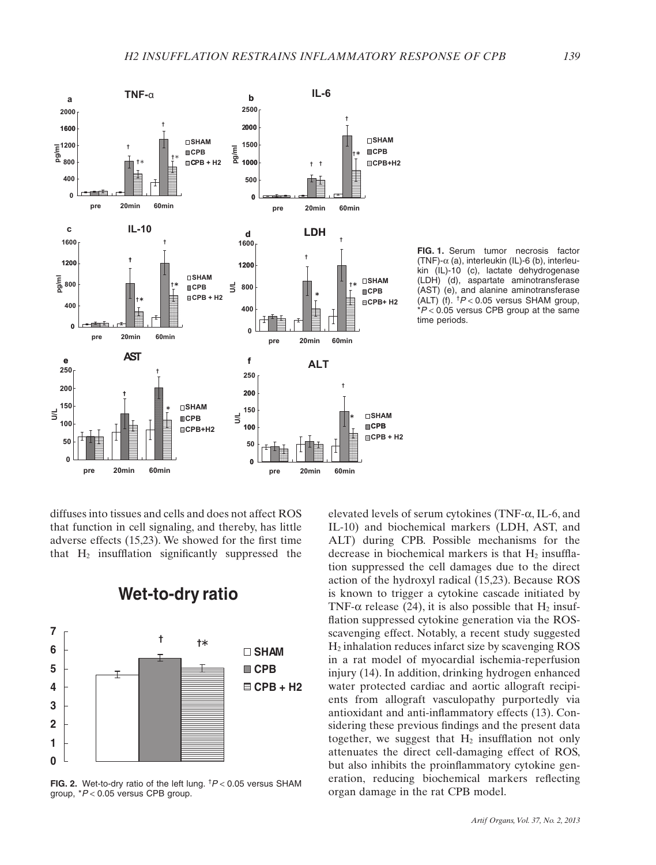

**FIG. 1.** Serum tumor necrosis factor (TNF)- $\alpha$  (a), interleukin (IL)-6 (b), interleukin (IL)-10 (c), lactate dehydrogenase (LDH) (d), aspartate aminotransferase (AST) (e), and alanine aminotransferase (ALT) (f). † *P* < 0.05 versus SHAM group, \**P* < 0.05 versus CPB group at the same time periods.

diffuses into tissues and cells and does not affect ROS that function in cell signaling, and thereby, has little adverse effects (15,23). We showed for the first time that  $H_2$  insufflation significantly suppressed the

**Wet-to-dry ratio**



**FIG. 2.** Wet-to-dry ratio of the left lung. † *P* < 0.05 versus SHAM group, \**P* < 0.05 versus CPB group.

elevated levels of serum cytokines (TNF- $\alpha$ , IL-6, and IL-10) and biochemical markers (LDH, AST, and ALT) during CPB. Possible mechanisms for the decrease in biochemical markers is that  $H_2$  insufflation suppressed the cell damages due to the direct action of the hydroxyl radical (15,23). Because ROS is known to trigger a cytokine cascade initiated by TNF- $\alpha$  release (24), it is also possible that H<sub>2</sub> insufflation suppressed cytokine generation via the ROSscavenging effect. Notably, a recent study suggested H2 inhalation reduces infarct size by scavenging ROS in a rat model of myocardial ischemia-reperfusion injury (14). In addition, drinking hydrogen enhanced water protected cardiac and aortic allograft recipients from allograft vasculopathy purportedly via antioxidant and anti-inflammatory effects (13). Considering these previous findings and the present data together, we suggest that  $H_2$  insufflation not only attenuates the direct cell-damaging effect of ROS, but also inhibits the proinflammatory cytokine generation, reducing biochemical markers reflecting organ damage in the rat CPB model.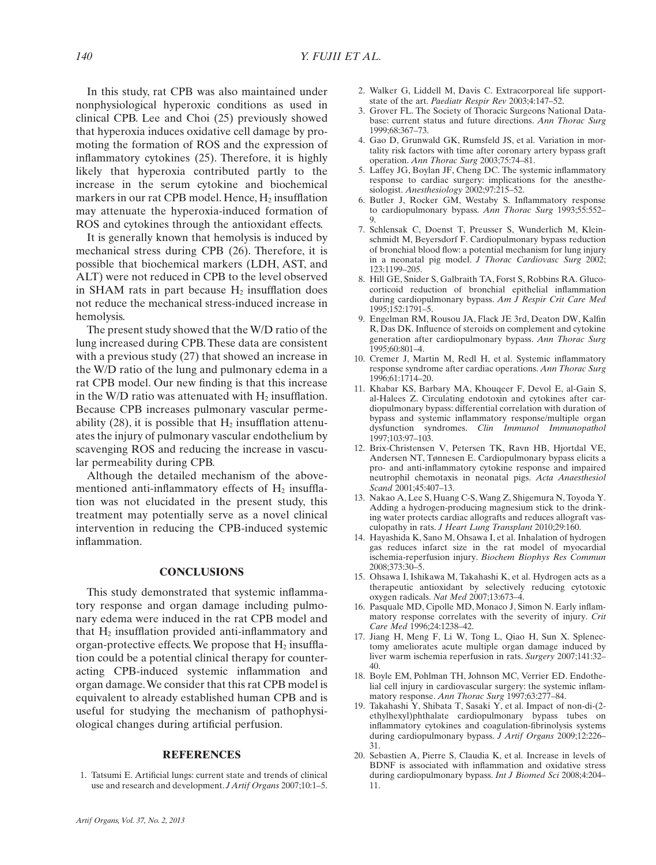In this study, rat CPB was also maintained under nonphysiological hyperoxic conditions as used in clinical CPB. Lee and Choi (25) previously showed that hyperoxia induces oxidative cell damage by promoting the formation of ROS and the expression of inflammatory cytokines (25). Therefore, it is highly likely that hyperoxia contributed partly to the increase in the serum cytokine and biochemical markers in our rat CPB model. Hence,  $H_2$  insufflation may attenuate the hyperoxia-induced formation of ROS and cytokines through the antioxidant effects.

It is generally known that hemolysis is induced by mechanical stress during CPB (26). Therefore, it is possible that biochemical markers (LDH, AST, and ALT) were not reduced in CPB to the level observed in SHAM rats in part because  $H_2$  insufflation does not reduce the mechanical stress-induced increase in hemolysis.

The present study showed that theW/D ratio of the lung increased during CPB. These data are consistent with a previous study (27) that showed an increase in the W/D ratio of the lung and pulmonary edema in a rat CPB model. Our new finding is that this increase in the W/D ratio was attenuated with  $H_2$  insufflation. Because CPB increases pulmonary vascular permeability  $(28)$ , it is possible that  $H_2$  insufflation attenuates the injury of pulmonary vascular endothelium by scavenging ROS and reducing the increase in vascular permeability during CPB.

Although the detailed mechanism of the abovementioned anti-inflammatory effects of  $H_2$  insufflation was not elucidated in the present study, this treatment may potentially serve as a novel clinical intervention in reducing the CPB-induced systemic inflammation.

# **CONCLUSIONS**

This study demonstrated that systemic inflammatory response and organ damage including pulmonary edema were induced in the rat CPB model and that  $H_2$  insufflation provided anti-inflammatory and organ-protective effects. We propose that  $H_2$  insufflation could be a potential clinical therapy for counteracting CPB-induced systemic inflammation and organ damage.We consider that this rat CPB model is equivalent to already established human CPB and is useful for studying the mechanism of pathophysiological changes during artificial perfusion.

## **REFERENCES**

1. Tatsumi E. Artificial lungs: current state and trends of clinical use and research and development. *J Artif Organs* 2007;10:1–5.

- 2. Walker G, Liddell M, Davis C. Extracorporeal life supportstate of the art. *Paediatr Respir Rev* 2003;4:147–52.
- 3. Grover FL. The Society of Thoracic Surgeons National Database: current status and future directions. *Ann Thorac Surg* 1999;68:367–73.
- 4. Gao D, Grunwald GK, Rumsfeld JS, et al. Variation in mortality risk factors with time after coronary artery bypass graft operation. *Ann Thorac Surg* 2003;75:74–81.
- 5. Laffey JG, Boylan JF, Cheng DC. The systemic inflammatory response to cardiac surgery: implications for the anesthesiologist. *Anesthesiology* 2002;97:215–52.
- 6. Butler J, Rocker GM, Westaby S. Inflammatory response to cardiopulmonary bypass. *Ann Thorac Surg* 1993;55:552– 9.
- 7. Schlensak C, Doenst T, Preusser S, Wunderlich M, Kleinschmidt M, Beyersdorf F. Cardiopulmonary bypass reduction of bronchial blood flow: a potential mechanism for lung injury in a neonatal pig model. *J Thorac Cardiovasc Surg* 2002; 123:1199–205.
- 8. Hill GE, Snider S, Galbraith TA, Forst S, Robbins RA. Glucocorticoid reduction of bronchial epithelial inflammation during cardiopulmonary bypass. *Am J Respir Crit Care Med* 1995;152:1791–5.
- 9. Engelman RM, Rousou JA, Flack JE 3rd, Deaton DW, Kalfin R, Das DK. Influence of steroids on complement and cytokine generation after cardiopulmonary bypass. *Ann Thorac Surg* 1995;60:801–4.
- 10. Cremer J, Martin M, Redl H, et al. Systemic inflammatory response syndrome after cardiac operations. *Ann Thorac Surg* 1996;61:1714–20.
- 11. Khabar KS, Barbary MA, Khouqeer F, Devol E, al-Gain S, al-Halees Z. Circulating endotoxin and cytokines after cardiopulmonary bypass: differential correlation with duration of bypass and systemic inflammatory response/multiple organ dysfunction syndromes. *Clin Immunol Immunopathol* 1997;103:97–103.
- 12. Brix-Christensen V, Petersen TK, Ravn HB, Hjortdal VE, Andersen NT, Tønnesen E. Cardiopulmonary bypass elicits a pro- and anti-inflammatory cytokine response and impaired neutrophil chemotaxis in neonatal pigs. *Acta Anaesthesiol Scand* 2001;45:407–13.
- 13. Nakao A, Lee S, Huang C-S,Wang Z, Shigemura N, Toyoda Y. Adding a hydrogen-producing magnesium stick to the drinking water protects cardiac allografts and reduces allograft vasculopathy in rats. *J Heart Lung Transplant* 2010;29:160.
- 14. Hayashida K, Sano M, Ohsawa I, et al. Inhalation of hydrogen gas reduces infarct size in the rat model of myocardial ischemia-reperfusion injury. *Biochem Biophys Res Commun* 2008;373:30–5.
- 15. Ohsawa I, Ishikawa M, Takahashi K, et al. Hydrogen acts as a therapeutic antioxidant by selectively reducing cytotoxic oxygen radicals. *Nat Med* 2007;13:673–4.
- 16. Pasquale MD, Cipolle MD, Monaco J, Simon N. Early inflammatory response correlates with the severity of injury. *Crit Care Med* 1996;24:1238–42.
- 17. Jiang H, Meng F, Li W, Tong L, Qiao H, Sun X. Splenectomy ameliorates acute multiple organ damage induced by liver warm ischemia reperfusion in rats. *Surgery* 2007;141:32– 40.
- 18. Boyle EM, Pohlman TH, Johnson MC, Verrier ED. Endothelial cell injury in cardiovascular surgery: the systemic inflammatory response. *Ann Thorac Surg* 1997;63:277–84.
- 19. Takahashi Y, Shibata T, Sasaki Y, et al. Impact of non-di-(2 ethylhexyl)phthalate cardiopulmonary bypass tubes on inflammatory cytokines and coagulation-fibrinolysis systems during cardiopulmonary bypass. *J Artif Organs* 2009;12:226– 31.
- 20. Sebastien A, Pierre S, Claudia K, et al. Increase in levels of BDNF is associated with inflammation and oxidative stress during cardiopulmonary bypass. *Int J Biomed Sci* 2008;4:204– 11.